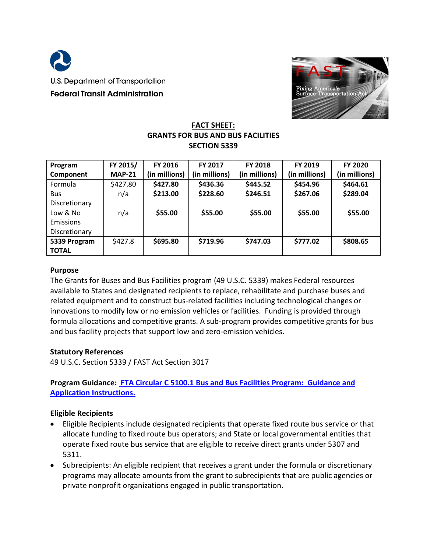



## **FACT SHEET: GRANTS FOR BUS AND BUS FACILITIES SECTION 5339**

| Program       | FY 2015/      | <b>FY 2016</b> | FY 2017       | <b>FY 2018</b> | FY 2019       | FY 2020       |
|---------------|---------------|----------------|---------------|----------------|---------------|---------------|
| Component     | <b>MAP-21</b> | (in millions)  | (in millions) | (in millions)  | (in millions) | (in millions) |
| Formula       | \$427.80      | \$427.80       | \$436.36      | \$445.52       | \$454.96      | \$464.61      |
| <b>Bus</b>    | n/a           | \$213.00       | \$228.60      | \$246.51       | \$267.06      | \$289.04      |
| Discretionary |               |                |               |                |               |               |
| Low & No      | n/a           | \$55.00        | \$55.00       | \$55.00        | \$55.00       | \$55.00       |
| Emissions     |               |                |               |                |               |               |
| Discretionary |               |                |               |                |               |               |
| 5339 Program  | \$427.8       | \$695.80       | \$719.96      | \$747.03       | \$777.02      | \$808.65      |
| <b>TOTAL</b>  |               |                |               |                |               |               |

#### **Purpose**

The Grants for Buses and Bus Facilities program (49 U.S.C. 5339) makes Federal resources available to States and designated recipients to replace, rehabilitate and purchase buses and related equipment and to construct bus-related facilities including technological changes or innovations to modify low or no emission vehicles or facilities. Funding is provided through formula allocations and competitive grants. A sub-program provides competitive grants for bus and bus facility projects that support low and zero-emission vehicles.

#### **Statutory References**

49 U.S.C. Section 5339 / FAST Act Section 3017

# **Program Guidance: FTA Circular C 5100.1 Bus [and Bus Facilities Program: Guidance and](http://www.fta.dot.gov/legislation_law/12349_16071.html)  [Application Instructions.](http://www.fta.dot.gov/legislation_law/12349_16071.html)**

#### **Eligible Recipients**

- Eligible Recipients include designated recipients that operate fixed route bus service or that allocate funding to fixed route bus operators; and State or local governmental entities that operate fixed route bus service that are eligible to receive direct grants under 5307 and 5311.
- Subrecipients: An eligible recipient that receives a grant under the formula or discretionary programs may allocate amounts from the grant to subrecipients that are public agencies or private nonprofit organizations engaged in public transportation.